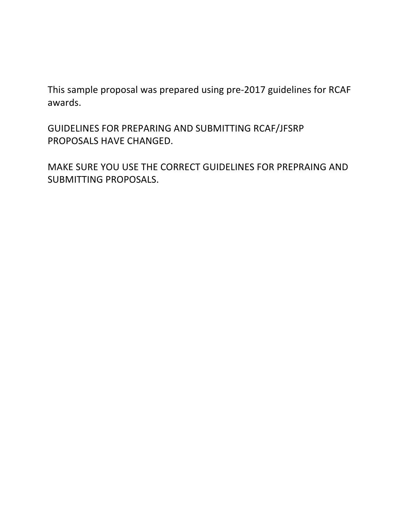This sample proposal was prepared using pre-2017 guidelines for RCAF awards. 

GUIDELINES FOR PREPARING AND SUBMITTING RCAF/JFSRP PROPOSALS HAVE CHANGED.

MAKE SURE YOU USE THE CORRECT GUIDELINES FOR PREPRAING AND SUBMITTING PROPOSALS.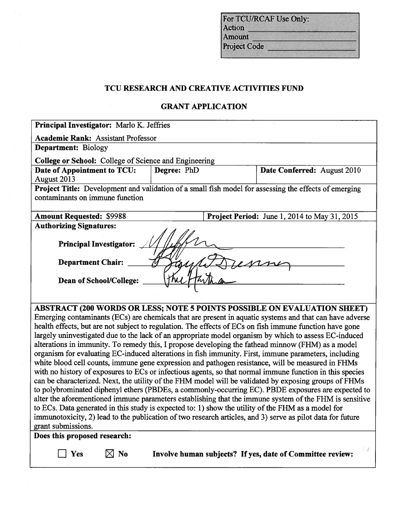| For TCU/RCAF Use Only:<br>Action |  |
|----------------------------------|--|
| Amount                           |  |
| <b>Project Code</b>              |  |
|                                  |  |

# TCU RESEARCH AND CREATIVE ACTIVITIES FUND

# **GRANT APPLICATION**

| Principal Investigator: Marlo K. Jeffries                                                                                                                                                                    |             |                                                           |  |
|--------------------------------------------------------------------------------------------------------------------------------------------------------------------------------------------------------------|-------------|-----------------------------------------------------------|--|
| <b>Academic Rank: Assistant Professor</b>                                                                                                                                                                    |             |                                                           |  |
| Department: Biology                                                                                                                                                                                          |             |                                                           |  |
| College or School: College of Science and Engineering                                                                                                                                                        |             |                                                           |  |
| Date of Appointment to TCU:                                                                                                                                                                                  | Degree: PhD | Date Conferred: August 2010                               |  |
| August 2013                                                                                                                                                                                                  |             |                                                           |  |
| Project Title: Development and validation of a small fish model for assessing the effects of emerging                                                                                                        |             |                                                           |  |
| contaminants on immune function                                                                                                                                                                              |             |                                                           |  |
| <b>Amount Requested: \$9988</b>                                                                                                                                                                              |             | Project Period: June 1, 2014 to May 31, 2015              |  |
| <b>Authorizing Signatures:</b>                                                                                                                                                                               |             |                                                           |  |
|                                                                                                                                                                                                              |             |                                                           |  |
| <b>Principal Investigator:</b>                                                                                                                                                                               |             |                                                           |  |
| <b>Department Chair:</b>                                                                                                                                                                                     |             |                                                           |  |
|                                                                                                                                                                                                              |             |                                                           |  |
| <b>Dean of School/College:</b>                                                                                                                                                                               |             |                                                           |  |
|                                                                                                                                                                                                              |             |                                                           |  |
|                                                                                                                                                                                                              |             |                                                           |  |
| <b>ABSTRACT (200 WORDS OR LESS; NOTE 5 POINTS POSSIBLE ON EVALUATION SHEET)</b><br>Emerging contaminants (ECs) are chemicals that are present in aquatic systems and that can have adverse                   |             |                                                           |  |
| health effects, but are not subject to regulation. The effects of ECs on fish immune function have gone                                                                                                      |             |                                                           |  |
| largely uninvestigated due to the lack of an appropriate model organism by which to assess EC-induced                                                                                                        |             |                                                           |  |
| alterations in immunity. To remedy this, I propose developing the fathead minnow (FHM) as a model                                                                                                            |             |                                                           |  |
| organism for evaluating EC-induced alterations in fish immunity. First, immune parameters, including                                                                                                         |             |                                                           |  |
| white blood cell counts, immune gene expression and pathogen resistance, will be measured in FHMs                                                                                                            |             |                                                           |  |
| with no history of exposures to ECs or infectious agents, so that normal immune function in this species                                                                                                     |             |                                                           |  |
| can be characterized. Next, the utility of the FHM model will be validated by exposing groups of FHMs                                                                                                        |             |                                                           |  |
| to polybrominated diphenyl ethers (PBDEs, a commonly-occurring EC). PBDE exposures are expected to                                                                                                           |             |                                                           |  |
| alter the aforementioned immune parameters establishing that the immune system of the FHM is sensitive<br>to ECs. Data generated in this study is expected to: 1) show the utility of the FHM as a model for |             |                                                           |  |
| immunotoxicity, 2) lead to the publication of two research articles, and 3) serve as pilot data for future                                                                                                   |             |                                                           |  |
| grant submissions.                                                                                                                                                                                           |             |                                                           |  |
| Does this proposed research:                                                                                                                                                                                 |             |                                                           |  |
| $\boxtimes$ No<br>Yes                                                                                                                                                                                        |             |                                                           |  |
|                                                                                                                                                                                                              |             | Involve human subjects? If yes, date of Committee review: |  |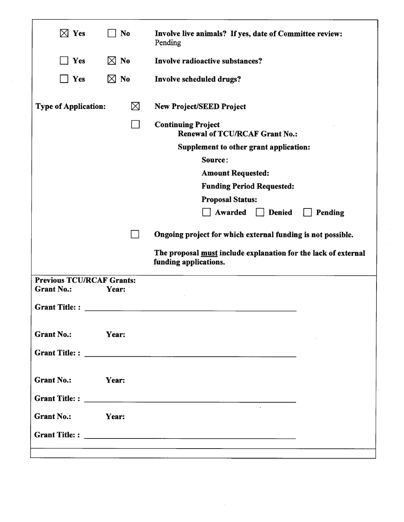| $\boxtimes$ Yes                  | N <sub>o</sub>                         | Involve live animals? If yes, date of Committee review:<br>Pending                      |                |  |
|----------------------------------|----------------------------------------|-----------------------------------------------------------------------------------------|----------------|--|
| Yes                              | $\boxtimes$ No                         | Involve radioactive substances?                                                         |                |  |
| Yes                              | $\boxtimes$ No                         | <b>Involve scheduled drugs?</b>                                                         |                |  |
| <b>Type of Application:</b>      | ⊠                                      | <b>New Project/SEED Project</b>                                                         |                |  |
|                                  |                                        | <b>Continuing Project</b><br><b>Renewal of TCU/RCAF Grant No.:</b>                      |                |  |
|                                  | Supplement to other grant application: |                                                                                         |                |  |
|                                  |                                        | Source:                                                                                 |                |  |
|                                  |                                        | <b>Amount Requested:</b>                                                                |                |  |
|                                  | <b>Funding Period Requested:</b>       |                                                                                         |                |  |
|                                  |                                        | <b>Proposal Status:</b>                                                                 |                |  |
|                                  |                                        | Awarded<br><b>Denied</b>                                                                | <b>Pending</b> |  |
|                                  |                                        | Ongoing project for which external funding is not possible.                             |                |  |
|                                  |                                        | The proposal must include explanation for the lack of external<br>funding applications. |                |  |
| <b>Previous TCU/RCAF Grants:</b> |                                        |                                                                                         |                |  |
| <b>Grant No.:</b>                | Year:                                  |                                                                                         |                |  |
| <b>Grant Title::</b>             |                                        |                                                                                         |                |  |
| <b>Grant No.:</b>                | Year:                                  |                                                                                         |                |  |
|                                  |                                        |                                                                                         |                |  |
| <b>Grant No.:</b>                | Year:                                  |                                                                                         |                |  |
|                                  |                                        |                                                                                         |                |  |
| <b>Grant No.:</b>                | Year:                                  |                                                                                         |                |  |
|                                  |                                        |                                                                                         |                |  |
|                                  |                                        |                                                                                         |                |  |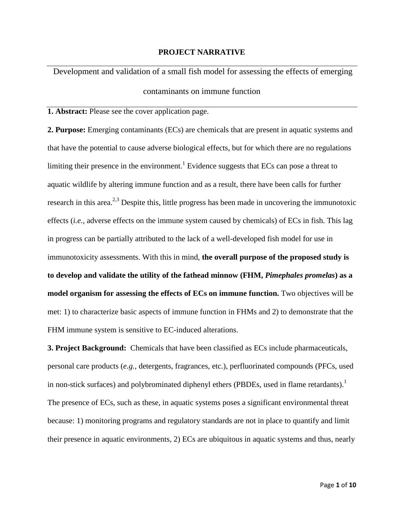#### **PROJECT NARRATIVE**

Development and validation of a small fish model for assessing the effects of emerging contaminants on immune function

**1. Abstract:** Please see the cover application page.

**2. Purpose:** Emerging contaminants (ECs) are chemicals that are present in aquatic systems and that have the potential to cause adverse biological effects, but for which there are no regulations limiting their presence in the environment.<sup>1</sup> Evidence suggests that ECs can pose a threat to aquatic wildlife by altering immune function and as a result, there have been calls for further research in this area.<sup>2,3</sup> Despite this, little progress has been made in uncovering the immunotoxic effects (*i.e.,* adverse effects on the immune system caused by chemicals) of ECs in fish. This lag in progress can be partially attributed to the lack of a well-developed fish model for use in immunotoxicity assessments. With this in mind, **the overall purpose of the proposed study is to develop and validate the utility of the fathead minnow (FHM,** *Pimephales promelas***) as a**  model organism for assessing the effects of ECs on immune function. Two objectives will be met: 1) to characterize basic aspects of immune function in FHMs and 2) to demonstrate that the FHM immune system is sensitive to EC-induced alterations.

**3. Project Background:** Chemicals that have been classified as ECs include pharmaceuticals, personal care products (*e.g.,* detergents, fragrances, etc.), perfluorinated compounds (PFCs, used in non-stick surfaces) and polybrominated diphenyl ethers (PBDEs, used in flame retardants).<sup>1</sup> The presence of ECs, such as these, in aquatic systems poses a significant environmental threat because: 1) monitoring programs and regulatory standards are not in place to quantify and limit their presence in aquatic environments, 2) ECs are ubiquitous in aquatic systems and thus, nearly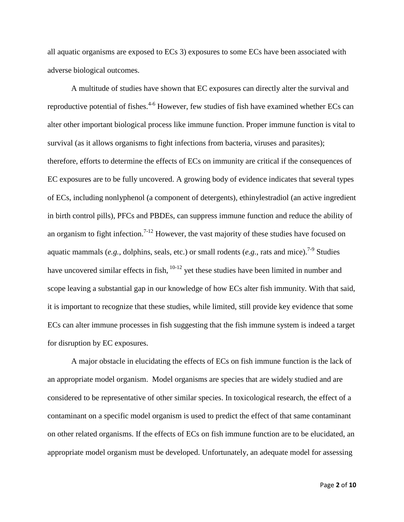all aquatic organisms are exposed to ECs 3) exposures to some ECs have been associated with adverse biological outcomes.

A multitude of studies have shown that EC exposures can directly alter the survival and reproductive potential of fishes.<sup>4-6</sup> However, few studies of fish have examined whether ECs can alter other important biological process like immune function. Proper immune function is vital to survival (as it allows organisms to fight infections from bacteria, viruses and parasites); therefore, efforts to determine the effects of ECs on immunity are critical if the consequences of EC exposures are to be fully uncovered. A growing body of evidence indicates that several types of ECs, including nonlyphenol (a component of detergents), ethinylestradiol (an active ingredient in birth control pills), PFCs and PBDEs, can suppress immune function and reduce the ability of an organism to fight infection.<sup>7-12</sup> However, the vast majority of these studies have focused on aquatic mammals (*e.g.,* dolphins, seals, etc.) or small rodents (*e.g.,* rats and mice). 7-9 Studies have uncovered similar effects in fish,  $10^{-12}$  yet these studies have been limited in number and scope leaving a substantial gap in our knowledge of how ECs alter fish immunity. With that said, it is important to recognize that these studies, while limited, still provide key evidence that some ECs can alter immune processes in fish suggesting that the fish immune system is indeed a target for disruption by EC exposures.

A major obstacle in elucidating the effects of ECs on fish immune function is the lack of an appropriate model organism. Model organisms are species that are widely studied and are considered to be representative of other similar species. In toxicological research, the effect of a contaminant on a specific model organism is used to predict the effect of that same contaminant on other related organisms. If the effects of ECs on fish immune function are to be elucidated, an appropriate model organism must be developed. Unfortunately, an adequate model for assessing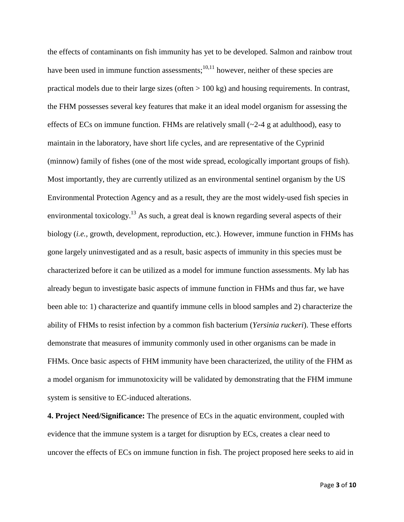the effects of contaminants on fish immunity has yet to be developed. Salmon and rainbow trout have been used in immune function assessments;<sup>10,11</sup> however, neither of these species are practical models due to their large sizes (often  $> 100 \text{ kg}$ ) and housing requirements. In contrast, the FHM possesses several key features that make it an ideal model organism for assessing the effects of ECs on immune function. FHMs are relatively small  $(\sim 2-4$  g at adulthood), easy to maintain in the laboratory, have short life cycles, and are representative of the Cyprinid (minnow) family of fishes (one of the most wide spread, ecologically important groups of fish). Most importantly, they are currently utilized as an environmental sentinel organism by the US Environmental Protection Agency and as a result, they are the most widely-used fish species in environmental toxicology.<sup>13</sup> As such, a great deal is known regarding several aspects of their biology (*i.e.,* growth, development, reproduction, etc.). However, immune function in FHMs has gone largely uninvestigated and as a result, basic aspects of immunity in this species must be characterized before it can be utilized as a model for immune function assessments. My lab has already begun to investigate basic aspects of immune function in FHMs and thus far, we have been able to: 1) characterize and quantify immune cells in blood samples and 2) characterize the ability of FHMs to resist infection by a common fish bacterium (*Yersinia ruckeri*). These efforts demonstrate that measures of immunity commonly used in other organisms can be made in FHMs. Once basic aspects of FHM immunity have been characterized, the utility of the FHM as a model organism for immunotoxicity will be validated by demonstrating that the FHM immune system is sensitive to EC-induced alterations.

**4. Project Need/Significance:** The presence of ECs in the aquatic environment, coupled with evidence that the immune system is a target for disruption by ECs, creates a clear need to uncover the effects of ECs on immune function in fish. The project proposed here seeks to aid in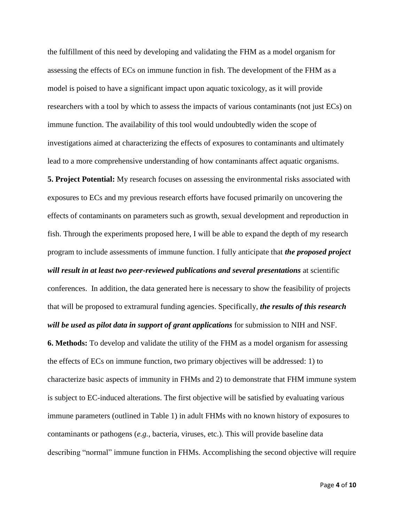the fulfillment of this need by developing and validating the FHM as a model organism for assessing the effects of ECs on immune function in fish. The development of the FHM as a model is poised to have a significant impact upon aquatic toxicology, as it will provide researchers with a tool by which to assess the impacts of various contaminants (not just ECs) on immune function. The availability of this tool would undoubtedly widen the scope of investigations aimed at characterizing the effects of exposures to contaminants and ultimately lead to a more comprehensive understanding of how contaminants affect aquatic organisms.

**5. Project Potential:** My research focuses on assessing the environmental risks associated with exposures to ECs and my previous research efforts have focused primarily on uncovering the effects of contaminants on parameters such as growth, sexual development and reproduction in fish. Through the experiments proposed here, I will be able to expand the depth of my research program to include assessments of immune function. I fully anticipate that *the proposed project will result in at least two peer-reviewed publications and several presentations* at scientific conferences. In addition, the data generated here is necessary to show the feasibility of projects that will be proposed to extramural funding agencies. Specifically, *the results of this research will be used as pilot data in support of grant applications* for submission to NIH and NSF.

**6. Methods:** To develop and validate the utility of the FHM as a model organism for assessing the effects of ECs on immune function, two primary objectives will be addressed: 1) to characterize basic aspects of immunity in FHMs and 2) to demonstrate that FHM immune system is subject to EC-induced alterations. The first objective will be satisfied by evaluating various immune parameters (outlined in Table 1) in adult FHMs with no known history of exposures to contaminants or pathogens (*e.g.,* bacteria, viruses, etc.). This will provide baseline data describing "normal" immune function in FHMs. Accomplishing the second objective will require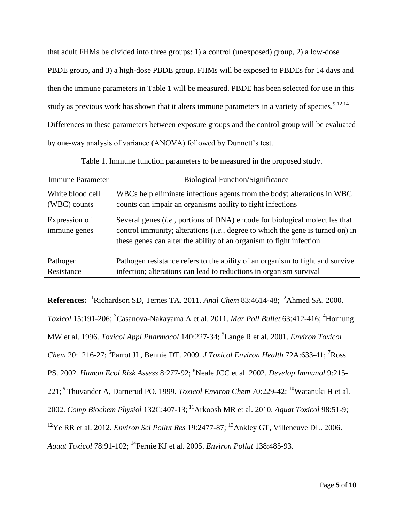that adult FHMs be divided into three groups: 1) a control (unexposed) group, 2) a low-dose PBDE group, and 3) a high-dose PBDE group. FHMs will be exposed to PBDEs for 14 days and then the immune parameters in Table 1 will be measured. PBDE has been selected for use in this study as previous work has shown that it alters immune parameters in a variety of species.<sup>9,12,14</sup> Differences in these parameters between exposure groups and the control group will be evaluated by one-way analysis of variance (ANOVA) followed by Dunnett's test.

| <b>Immune Parameter</b>       | <b>Biological Function/Significance</b>                                                                                                                                                                                                             |
|-------------------------------|-----------------------------------------------------------------------------------------------------------------------------------------------------------------------------------------------------------------------------------------------------|
| White blood cell              | WBCs help eliminate infectious agents from the body; alterations in WBC                                                                                                                                                                             |
| (WBC) counts                  | counts can impair an organisms ability to fight infections                                                                                                                                                                                          |
| Expression of<br>immune genes | Several genes <i>(i.e., portions of DNA)</i> encode for biological molecules that<br>control immunity; alterations $(i.e.,\text{ degree to which the gene is turned on})$ in<br>these genes can alter the ability of an organism to fight infection |
| Pathogen                      | Pathogen resistance refers to the ability of an organism to fight and survive                                                                                                                                                                       |
| Resistance                    | infection; alterations can lead to reductions in organism survival                                                                                                                                                                                  |

Table 1. Immune function parameters to be measured in the proposed study.

**References:** <sup>1</sup>Richardson SD, Ternes TA. 2011. *Anal Chem* 83:4614-48; <sup>2</sup>Ahmed SA. 2000. *Toxicol* 15:191-206; <sup>3</sup>Casanova-Nakayama A et al. 2011. *Mar Poll Bullet* 63:412-416; <sup>4</sup>Hornung MW et al. 1996. *Toxicol Appl Pharmacol* 140:227-34; <sup>5</sup> Lange R et al. 2001. *Environ Toxicol Chem* 20:1216-27; <sup>6</sup> Parrot JL, Bennie DT. 2009. *J Toxicol Environ Health* 72A:633-41; <sup>7</sup>Ross PS. 2002. *Human Ecol Risk Assess* 8:277-92; <sup>8</sup>Neale JCC et al. 2002. *Develop Immunol* 9:215- 221; <sup>9</sup> Thuvander A, Darnerud PO. 1999. *Toxicol Environ Chem* 70:229-42; <sup>10</sup>Watanuki H et al. 2002. *Comp Biochem Physiol* 132C:407-13; <sup>11</sup>Arkoosh MR et al. 2010. *Aquat Toxicol* 98:51-9; <sup>12</sup>Ye RR et al. 2012. *Environ Sci Pollut Res* 19:2477-87; <sup>13</sup>Ankley GT, Villeneuve DL. 2006. *Aquat Toxicol* 78:91-102; <sup>14</sup>Fernie KJ et al. 2005. *Environ Pollut* 138:485-93.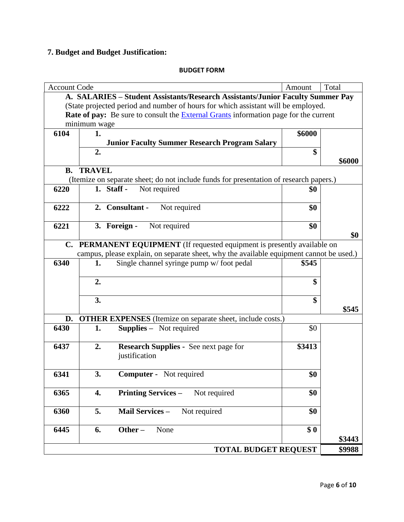# **7. Budget and Budget Justification:**

#### **BUDGET FORM**

| <b>Account Code</b> |               |                                                                                                                                                                                  | Amount | Total  |
|---------------------|---------------|----------------------------------------------------------------------------------------------------------------------------------------------------------------------------------|--------|--------|
|                     |               | A. SALARIES - Student Assistants/Research Assistants/Junior Faculty Summer Pay                                                                                                   |        |        |
|                     |               | (State projected period and number of hours for which assistant will be employed.<br>Rate of pay: Be sure to consult the <b>External Grants</b> information page for the current |        |        |
|                     | minimum wage  |                                                                                                                                                                                  |        |        |
| 6104                | 1.            |                                                                                                                                                                                  | \$6000 |        |
|                     |               | <b>Junior Faculty Summer Research Program Salary</b>                                                                                                                             |        |        |
|                     | 2.            |                                                                                                                                                                                  | \$     |        |
|                     |               |                                                                                                                                                                                  |        | \$6000 |
| <b>B.</b>           | <b>TRAVEL</b> |                                                                                                                                                                                  |        |        |
|                     |               | (Itemize on separate sheet; do not include funds for presentation of research papers.)                                                                                           |        |        |
| 6220                |               | 1. Staff -<br>Not required                                                                                                                                                       | \$0    |        |
|                     |               |                                                                                                                                                                                  |        |        |
| 6222                |               | 2. Consultant -<br>Not required                                                                                                                                                  | \$0    |        |
| 6221                |               | 3. Foreign -<br>Not required                                                                                                                                                     | \$0    |        |
|                     |               |                                                                                                                                                                                  |        | \$0    |
|                     |               | C. PERMANENT EQUIPMENT (If requested equipment is presently available on                                                                                                         |        |        |
|                     |               | campus, please explain, on separate sheet, why the available equipment cannot be used.)                                                                                          |        |        |
| 6340                | 1.            | Single channel syringe pump w/foot pedal                                                                                                                                         | \$545  |        |
|                     |               |                                                                                                                                                                                  |        |        |
|                     | 2.            |                                                                                                                                                                                  | \$     |        |
|                     |               |                                                                                                                                                                                  |        |        |
|                     | 3.            |                                                                                                                                                                                  | \$     |        |
|                     |               |                                                                                                                                                                                  |        | \$545  |
| D.                  |               | <b>OTHER EXPENSES</b> (Itemize on separate sheet, include costs.)                                                                                                                |        |        |
| 6430                | 1.            | <b>Supplies</b> – Not required                                                                                                                                                   | \$0    |        |
|                     |               |                                                                                                                                                                                  |        |        |
| 6437                | 2.            | <b>Research Supplies - See next page for</b><br>justification                                                                                                                    | \$3413 |        |
|                     |               |                                                                                                                                                                                  |        |        |
| 6341                | 3.            | <b>Computer -</b> Not required                                                                                                                                                   | \$0    |        |
|                     |               |                                                                                                                                                                                  |        |        |
| 6365                | 4.            | <b>Printing Services -</b> Not required                                                                                                                                          | \$0    |        |
|                     |               |                                                                                                                                                                                  |        |        |
| 6360                | 5.            | <b>Mail Services -</b><br>Not required                                                                                                                                           | \$0    |        |
|                     |               |                                                                                                                                                                                  |        |        |
| 6445                | 6.            | Other $-$<br>None                                                                                                                                                                | \$0    |        |
|                     |               |                                                                                                                                                                                  |        | \$3443 |
|                     |               | <b>TOTAL BUDGET REQUEST</b>                                                                                                                                                      |        | \$9988 |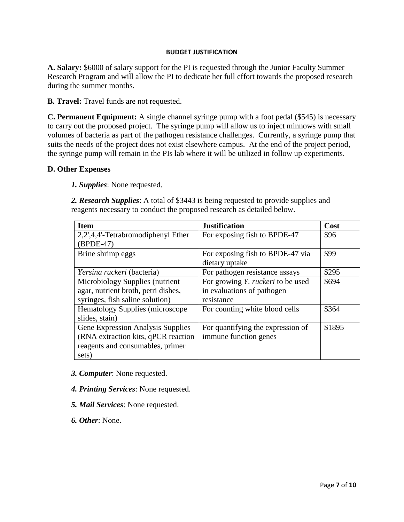#### **BUDGET JUSTIFICATION**

**A. Salary:** \$6000 of salary support for the PI is requested through the Junior Faculty Summer Research Program and will allow the PI to dedicate her full effort towards the proposed research during the summer months.

**B. Travel:** Travel funds are not requested.

**C. Permanent Equipment:** A single channel syringe pump with a foot pedal (\$545) is necessary to carry out the proposed project. The syringe pump will allow us to inject minnows with small volumes of bacteria as part of the pathogen resistance challenges. Currently, a syringe pump that suits the needs of the project does not exist elsewhere campus. At the end of the project period, the syringe pump will remain in the PIs lab where it will be utilized in follow up experiments.

#### **D. Other Expenses**

*1. Supplies*: None requested.

*2. Research Supplies*: A total of \$3443 is being requested to provide supplies and reagents necessary to conduct the proposed research as detailed below.

| <b>Item</b>                             | <b>Justification</b>                     | Cost   |
|-----------------------------------------|------------------------------------------|--------|
| 2,2',4,4'-Tetrabromodiphenyl Ether      | For exposing fish to BPDE-47             | \$96   |
| (BPDE-47)                               |                                          |        |
| Brine shrimp eggs                       | For exposing fish to BPDE-47 via         | \$99   |
|                                         | dietary uptake                           |        |
| Yersina ruckeri (bacteria)              | For pathogen resistance assays           | \$295  |
| Microbiology Supplies (nutrient         | For growing <i>Y. ruckeri</i> to be used | \$694  |
| agar, nutrient broth, petri dishes,     | in evaluations of pathogen               |        |
| syringes, fish saline solution)         | resistance                               |        |
| <b>Hematology Supplies (microscope)</b> | For counting white blood cells           | \$364  |
| slides, stain)                          |                                          |        |
| Gene Expression Analysis Supplies       | For quantifying the expression of        | \$1895 |
| (RNA extraction kits, qPCR reaction     | immune function genes                    |        |
| reagents and consumables, primer        |                                          |        |
| sets)                                   |                                          |        |

- *3. Computer*: None requested.
- *4. Printing Services*: None requested.
- *5. Mail Services*: None requested.
- *6. Other*: None.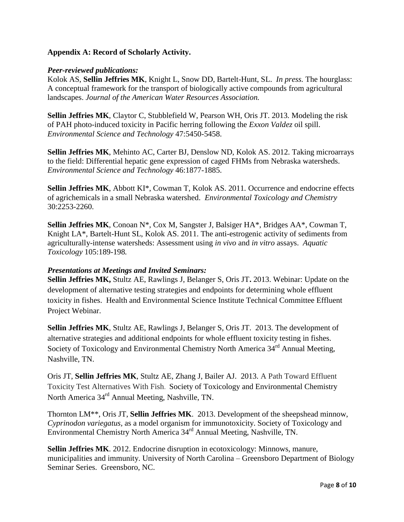# **Appendix A: Record of Scholarly Activity.**

### *Peer-reviewed publications:*

Kolok AS, **Sellin Jeffries MK**, Knight L, Snow DD, Bartelt-Hunt, SL. *In press.* The hourglass: A conceptual framework for the transport of biologically active compounds from agricultural landscapes. *Journal of the American Water Resources Association.*

**Sellin Jeffries MK**, Claytor C, Stubblefield W, Pearson WH, Oris JT. 2013*.* Modeling the risk of PAH photo-induced toxicity in Pacific herring following the *Exxon Valdez* oil spill. *Environmental Science and Technology* 47:5450-5458.

**Sellin Jeffries MK**, Mehinto AC, Carter BJ, Denslow ND, Kolok AS. 2012. Taking microarrays to the field: Differential hepatic gene expression of caged FHMs from Nebraska watersheds. *Environmental Science and Technology* 46:1877-1885.

**Sellin Jeffries MK**, Abbott KI\*, Cowman T, Kolok AS. 2011*.* Occurrence and endocrine effects of agrichemicals in a small Nebraska watershed. *Environmental Toxicology and Chemistry* 30:2253-2260.

**Sellin Jeffries MK**, Conoan N\*, Cox M, Sangster J, Balsiger HA\*, Bridges AA\*, Cowman T, Knight LA\*, Bartelt-Hunt SL, Kolok AS. 2011. The anti-estrogenic activity of sediments from agriculturally-intense watersheds: Assessment using *in vivo* and *in vitro* assays. *Aquatic Toxicology* 105:189-198*.* 

## *Presentations at Meetings and Invited Seminars:*

**Sellin Jeffries MK,** Stultz AE, Rawlings J, Belanger S, Oris JT**.** 2013. Webinar: Update on the development of alternative testing strategies and endpoints for determining whole effluent toxicity in fishes. Health and Environmental Science Institute Technical Committee Effluent Project Webinar.

**Sellin Jeffries MK**, Stultz AE, Rawlings J, Belanger S, Oris JT. 2013. The development of alternative strategies and additional endpoints for whole effluent toxicity testing in fishes. Society of Toxicology and Environmental Chemistry North America 34<sup>rd</sup> Annual Meeting, Nashville, TN.

Oris JT, **Sellin Jeffries MK**, Stultz AE, Zhang J, Bailer AJ. 2013. A Path Toward Effluent Toxicity Test Alternatives With Fish. Society of Toxicology and Environmental Chemistry North America 34rd Annual Meeting, Nashville, TN.

Thornton LM\*\*, Oris JT, **Sellin Jeffries MK**. 2013. Development of the sheepshead minnow, *Cyprinodon variegatus,* as a model organism for immunotoxicity. Society of Toxicology and Environmental Chemistry North America 34rd Annual Meeting, Nashville, TN.

**Sellin Jeffries MK**. 2012. Endocrine disruption in ecotoxicology: Minnows, manure, municipalities and immunity. University of North Carolina – Greensboro Department of Biology Seminar Series. Greensboro, NC.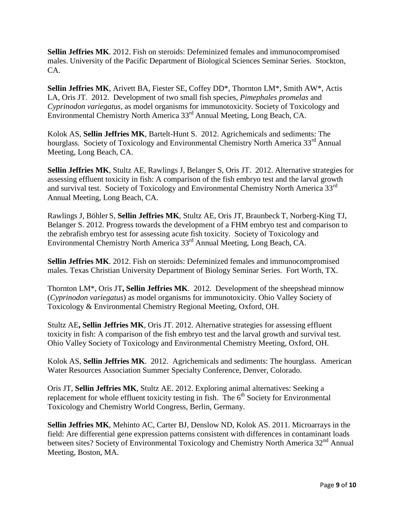**Sellin Jeffries MK**. 2012. Fish on steroids: Defeminized females and immunocompromised males. University of the Pacific Department of Biological Sciences Seminar Series. Stockton, CA.

**Sellin Jeffries MK**, Arivett BA, Fiester SE, Coffey DD\*, Thornton LM\*, Smith AW\*, Actis LA, Oris JT. 2012. Development of two small fish species, *Pimephales promelas* and *Cyprinodon variegatus*, as model organisms for immunotoxicity. Society of Toxicology and Environmental Chemistry North America 33<sup>rd</sup> Annual Meeting, Long Beach, CA.

Kolok AS, **Sellin Jeffries MK**, Bartelt-Hunt S. 2012. Agrichemicals and sediments: The hourglass. Society of Toxicology and Environmental Chemistry North America 33<sup>rd</sup> Annual Meeting, Long Beach, CA.

**Sellin Jeffries MK**, Stultz AE, Rawlings J, Belanger S, Oris JT. 2012. Alternative strategies for assessing effluent toxicity in fish: A comparison of the fish embryo test and the larval growth and survival test. Society of Toxicology and Environmental Chemistry North America 33<sup>rd</sup> Annual Meeting, Long Beach, CA.

Rawlings J, Böhler S, **Sellin Jeffries MK**, Stultz AE, Oris JT, Braunbeck T, Norberg-King TJ, Belanger S. 2012. Progress towards the development of a FHM embryo test and comparison to the zebrafish embryo test for assessing acute fish toxicity. Society of Toxicology and Environmental Chemistry North America  $33<sup>rd</sup>$  Annual Meeting, Long Beach, CA.

**Sellin Jeffries MK**. 2012. Fish on steroids: Defeminized females and immunocompromised males. Texas Christian University Department of Biology Seminar Series. Fort Worth, TX.

Thornton LM\*, Oris JT**, Sellin Jeffries MK**. 2012. Development of the sheepshead minnow (*Cyprinodon variegatus*) as model organisms for immunotoxicity. Ohio Valley Society of Toxicology & Environmental Chemistry Regional Meeting, Oxford, OH.

Stultz AE**, Sellin Jeffries MK**, Oris JT. 2012. Alternative strategies for assessing effluent toxicity in fish: A comparison of the fish embryo test and the larval growth and survival test. Ohio Valley Society of Toxicology and Environmental Chemistry Meeting, Oxford, OH.

Kolok AS, **Sellin Jeffries MK**. 2012. Agrichemicals and sediments: The hourglass. American Water Resources Association Summer Specialty Conference, Denver, Colorado.

Oris JT, **Sellin Jeffries MK**, Stultz AE. 2012. Exploring animal alternatives: Seeking a replacement for whole effluent toxicity testing in fish. The  $6<sup>th</sup>$  Society for Environmental Toxicology and Chemistry World Congress, Berlin, Germany.

**Sellin Jeffries MK**, Mehinto AC, Carter BJ, Denslow ND, Kolok AS. 2011. Microarrays in the field: Are differential gene expression patterns consistent with differences in contaminant loads between sites? Society of Environmental Toxicology and Chemistry North America 32<sup>nd</sup> Annual Meeting, Boston, MA.